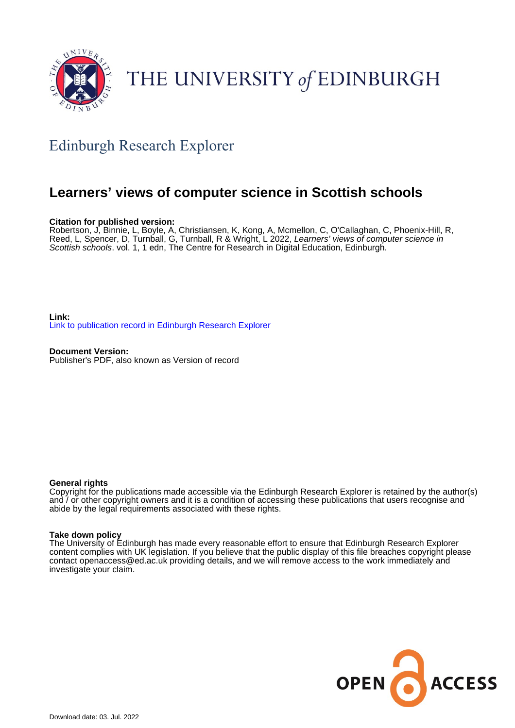

### THE UNIVERSITY of EDINBURGH

#### Edinburgh Research Explorer

#### **Learners' views of computer science in Scottish schools**

#### **Citation for published version:**

Robertson, J, Binnie, L, Boyle, A, Christiansen, K, Kong, A, Mcmellon, C, O'Callaghan, C, Phoenix-Hill, R, Reed, L, Spencer, D, Turnball, G, Turnball, R & Wright, L 2022, Learners' views of computer science in Scottish schools. vol. 1, 1 edn, The Centre for Research in Digital Education, Edinburgh.

**Link:** [Link to publication record in Edinburgh Research Explorer](https://www.research.ed.ac.uk/en/publications/58f4ade3-ff48-4062-9841-b8ce186e4d67)

**Document Version:** Publisher's PDF, also known as Version of record

#### **General rights**

Copyright for the publications made accessible via the Edinburgh Research Explorer is retained by the author(s) and / or other copyright owners and it is a condition of accessing these publications that users recognise and abide by the legal requirements associated with these rights.

#### **Take down policy**

The University of Edinburgh has made every reasonable effort to ensure that Edinburgh Research Explorer content complies with UK legislation. If you believe that the public display of this file breaches copyright please contact openaccess@ed.ac.uk providing details, and we will remove access to the work immediately and investigate your claim.

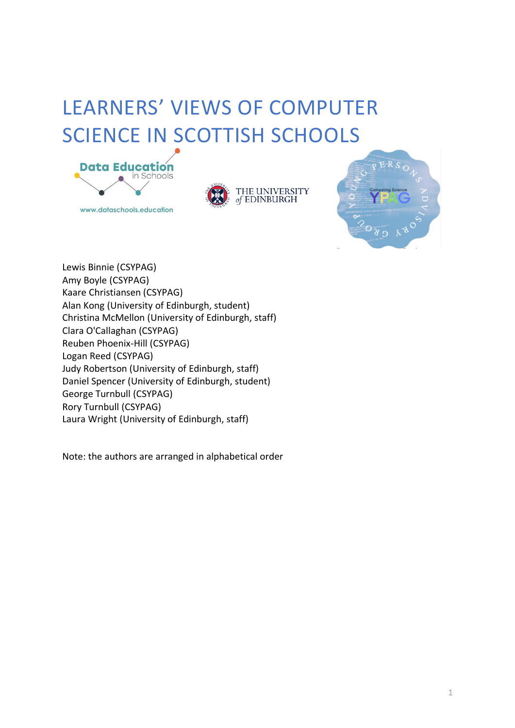### LEARNERS' VIEWS OF COMPUTER SCIENCE IN SCOTTISH SCHOOLS



www.dataschools.education





Lewis Binnie (CSYPAG) Amy Boyle (CSYPAG) Kaare Christiansen (CSYPAG) Alan Kong (University of Edinburgh, student) Christina McMellon (University of Edinburgh, staff) Clara O'Callaghan (CSYPAG) Reuben Phoenix-Hill (CSYPAG) Logan Reed (CSYPAG) Judy Robertson (University of Edinburgh, staff) Daniel Spencer (University of Edinburgh, student) George Turnbull (CSYPAG) Rory Turnbull (CSYPAG) Laura Wright (University of Edinburgh, staff)

Note: the authors are arranged in alphabetical order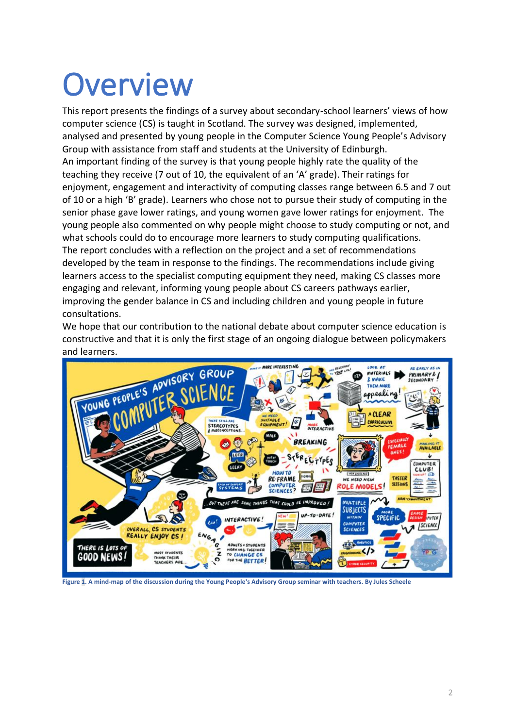### **Overview**

This report presents the findings of a survey about secondary-school learners' views of how computer science (CS) is taught in Scotland. The survey was designed, implemented, analysed and presented by young people in the Computer Science Young People's Advisory Group with assistance from staff and students at the University of Edinburgh. An important finding of the survey is that young people highly rate the quality of the teaching they receive (7 out of 10, the equivalent of an 'A' grade). Their ratings for enjoyment, engagement and interactivity of computing classes range between 6.5 and 7 out of 10 or a high 'B' grade). Learners who chose not to pursue their study of computing in the senior phase gave lower ratings, and young women gave lower ratings for enjoyment. The young people also commented on why people might choose to study computing or not, and what schools could do to encourage more learners to study computing qualifications. The report concludes with a reflection on the project and a set of recommendations developed by the team in response to the findings. The recommendations include giving learners access to the specialist computing equipment they need, making CS classes more engaging and relevant, informing young people about CS careers pathways earlier, improving the gender balance in CS and including children and young people in future consultations.

We hope that our contribution to the national debate about computer science education is constructive and that it is only the first stage of an ongoing dialogue between policymakers



<span id="page-2-0"></span>**Figure 1. A mind-map of the discussion during the Young People's Advisory Group seminar with teachers. By Jules Scheele**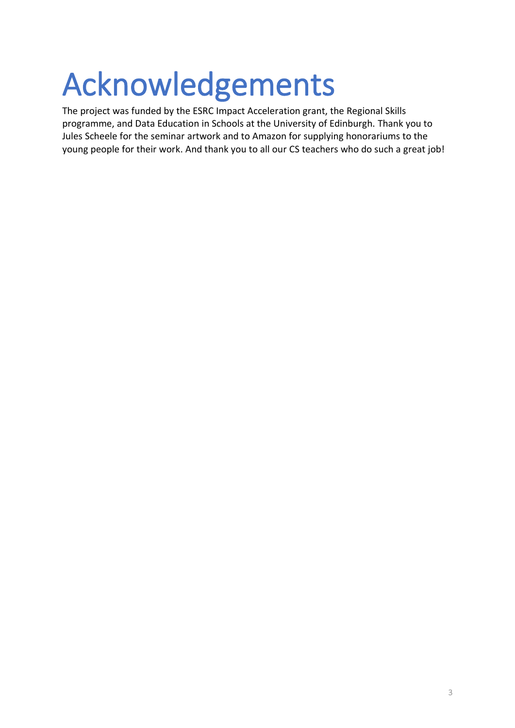## Acknowledgements

The project was funded by the ESRC Impact Acceleration grant, the Regional Skills programme, and Data Education in Schools at the University of Edinburgh. Thank you to Jules Scheele for the seminar artwork and to Amazon for supplying honorariums to the young people for their work. And thank you to all our CS teachers who do such a great job!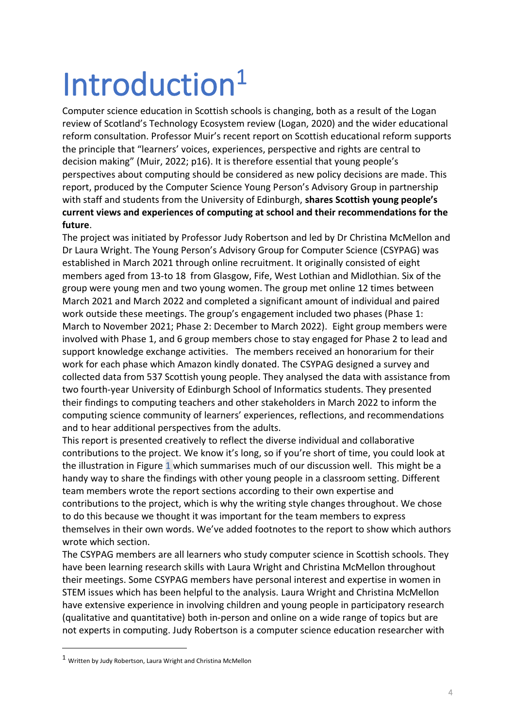# Introduction<sup>1</sup>

Computer science education in Scottish schools is changing, both as a result of the Logan review of Scotland's Technology Ecosystem review (Logan, 2020) and the wider educational reform consultation. Professor Muir's recent report on Scottish educational reform supports the principle that "learners' voices, experiences, perspective and rights are central to decision making" (Muir, 2022; p16). It is therefore essential that young people's perspectives about computing should be considered as new policy decisions are made. This report, produced by the Computer Science Young Person's Advisory Group in partnership with staff and students from the University of Edinburgh, **shares Scottish young people's current views and experiences of computing at school and their recommendations for the future**.

The project was initiated by Professor Judy Robertson and led by Dr Christina McMellon and Dr Laura Wright. The Young Person's Advisory Group for Computer Science (CSYPAG) was established in March 2021 through online recruitment. It originally consisted of eight members aged from 13-to 18 from Glasgow, Fife, West Lothian and Midlothian. Six of the group were young men and two young women. The group met online 12 times between March 2021 and March 2022 and completed a significant amount of individual and paired work outside these meetings. The group's engagement included two phases (Phase 1: March to November 2021; Phase 2: December to March 2022). Eight group members were involved with Phase 1, and 6 group members chose to stay engaged for Phase 2 to lead and support knowledge exchange activities. The members received an honorarium for their work for each phase which Amazon kindly donated. The CSYPAG designed a survey and collected data from 537 Scottish young people. They analysed the data with assistance from two fourth-year University of Edinburgh School of Informatics students. They presented their findings to computing teachers and other stakeholders in March 2022 to inform the computing science community of learners' experiences, reflections, and recommendations and to hear additional perspectives from the adults.

This report is presented creatively to reflect the diverse individual and collaborative contributions to the project. We know it's long, so if you're short of time, you could look at the illustration in [Figure 1](#page-2-0) which summarises much of our discussion well. This might be a handy way to share the findings with other young people in a classroom setting. Different team members wrote the report sections according to their own expertise and contributions to the project, which is why the writing style changes throughout. We chose to do this because we thought it was important for the team members to express themselves in their own words. We've added footnotes to the report to show which authors wrote which section.

The CSYPAG members are all learners who study computer science in Scottish schools. They have been learning research skills with Laura Wright and Christina McMellon throughout their meetings. Some CSYPAG members have personal interest and expertise in women in STEM issues which has been helpful to the analysis. Laura Wright and Christina McMellon have extensive experience in involving children and young people in participatory research (qualitative and quantitative) both in-person and online on a wide range of topics but are not experts in computing. Judy Robertson is a computer science education researcher with

 $1$  Written by Judy Robertson, Laura Wright and Christina McMellon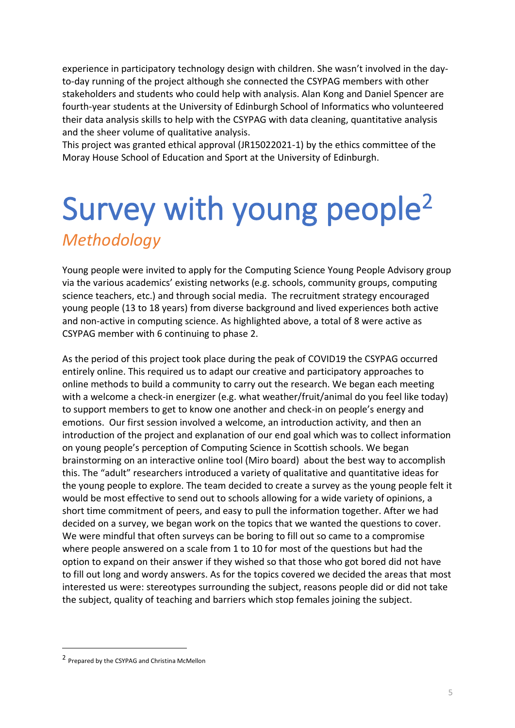experience in participatory technology design with children. She wasn't involved in the dayto-day running of the project although she connected the CSYPAG members with other stakeholders and students who could help with analysis. Alan Kong and Daniel Spencer are fourth-year students at the University of Edinburgh School of Informatics who volunteered their data analysis skills to help with the CSYPAG with data cleaning, quantitative analysis and the sheer volume of qualitative analysis.

This project was granted ethical approval (JR15022021-1) by the ethics committee of the Moray House School of Education and Sport at the University of Edinburgh.

### Survey with young people<sup>2</sup> *Methodology*

Young people were invited to apply for the Computing Science Young People Advisory group via the various academics' existing networks (e.g. schools, community groups, computing science teachers, etc.) and through social media. The recruitment strategy encouraged young people (13 to 18 years) from diverse background and lived experiences both active and non-active in computing science. As highlighted above, a total of 8 were active as CSYPAG member with 6 continuing to phase 2.

As the period of this project took place during the peak of COVID19 the CSYPAG occurred entirely online. This required us to adapt our creative and participatory approaches to online methods to build a community to carry out the research. We began each meeting with a welcome a check-in energizer (e.g. what weather/fruit/animal do you feel like today) to support members to get to know one another and check-in on people's energy and emotions. Our first session involved a welcome, an introduction activity, and then an introduction of the project and explanation of our end goal which was to collect information on young people's perception of Computing Science in Scottish schools. We began brainstorming on an interactive online tool (Miro board) about the best way to accomplish this. The "adult" researchers introduced a variety of qualitative and quantitative ideas for the young people to explore. The team decided to create a survey as the young people felt it would be most effective to send out to schools allowing for a wide variety of opinions, a short time commitment of peers, and easy to pull the information together. After we had decided on a survey, we began work on the topics that we wanted the questions to cover. We were mindful that often surveys can be boring to fill out so came to a compromise where people answered on a scale from 1 to 10 for most of the questions but had the option to expand on their answer if they wished so that those who got bored did not have to fill out long and wordy answers. As for the topics covered we decided the areas that most interested us were: stereotypes surrounding the subject, reasons people did or did not take the subject, quality of teaching and barriers which stop females joining the subject.

<sup>2</sup> Prepared by the CSYPAG and Christina McMellon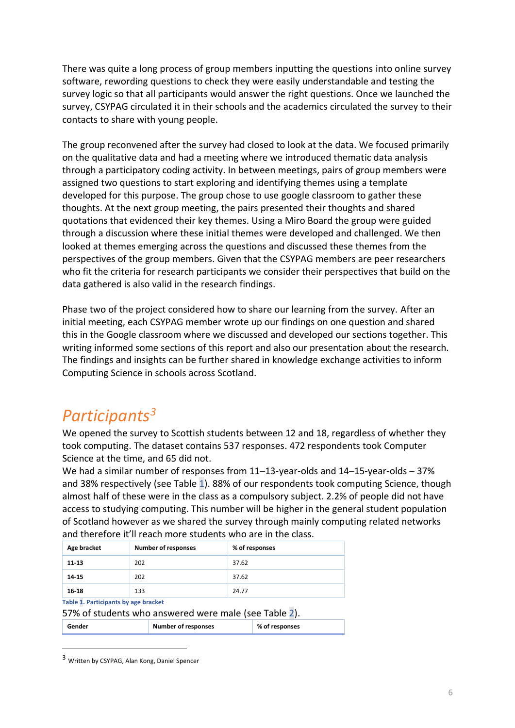There was quite a long process of group members inputting the questions into online survey software, rewording questions to check they were easily understandable and testing the survey logic so that all participants would answer the right questions. Once we launched the survey, CSYPAG circulated it in their schools and the academics circulated the survey to their contacts to share with young people.

The group reconvened after the survey had closed to look at the data. We focused primarily on the qualitative data and had a meeting where we introduced thematic data analysis through a participatory coding activity. In between meetings, pairs of group members were assigned two questions to start exploring and identifying themes using a template developed for this purpose. The group chose to use google classroom to gather these thoughts. At the next group meeting, the pairs presented their thoughts and shared quotations that evidenced their key themes. Using a Miro Board the group were guided through a discussion where these initial themes were developed and challenged. We then looked at themes emerging across the questions and discussed these themes from the perspectives of the group members. Given that the CSYPAG members are peer researchers who fit the criteria for research participants we consider their perspectives that build on the data gathered is also valid in the research findings.

Phase two of the project considered how to share our learning from the survey. After an initial meeting, each CSYPAG member wrote up our findings on one question and shared this in the Google classroom where we discussed and developed our sections together. This writing informed some sections of this report and also our presentation about the research. The findings and insights can be further shared in knowledge exchange activities to inform Computing Science in schools across Scotland.

#### *Participants<sup>3</sup>*

We opened the survey to Scottish students between 12 and 18, regardless of whether they took computing. The dataset contains 537 responses. 472 respondents took Computer Science at the time, and 65 did not.

We had a similar number of responses from 11–13-year-olds and 14–15-year-olds – 37% and 38% respectively (see [Table 1\)](#page-6-0). 88% of our respondents took computing Science, though almost half of these were in the class as a compulsory subject. 2.2% of people did not have access to studying computing. This number will be higher in the general student population of Scotland however as we shared the survey through mainly computing related networks and therefore it'll reach more students who are in the class.

| Age bracket                                                                                   | <b>Number of responses</b> |  | % of responses |                |  |
|-----------------------------------------------------------------------------------------------|----------------------------|--|----------------|----------------|--|
| 11-13                                                                                         | 202                        |  | 37.62          |                |  |
| 14 15                                                                                         | 202                        |  | 37.62          |                |  |
| 16-18                                                                                         | 133                        |  | 24.77          |                |  |
| Table 1. Participants by age bracket<br>57% of students who answered were male (see Table 2). |                            |  |                |                |  |
| Gender                                                                                        | <b>Number of responses</b> |  |                | % of responses |  |

<span id="page-6-0"></span><sup>3</sup> Written by CSYPAG, Alan Kong, Daniel Spencer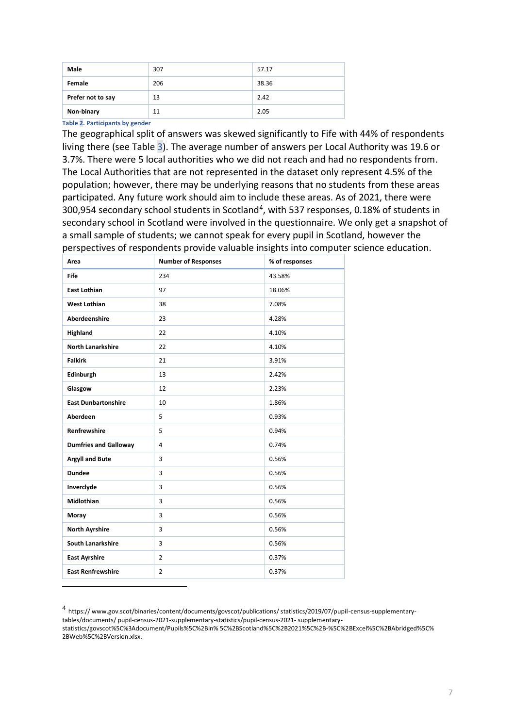| Male              | 307 | 57.17 |
|-------------------|-----|-------|
| Female            | 206 | 38.36 |
| Prefer not to say | 13  | 2.42  |
| Non-binary        | 11  | 2.05  |

<span id="page-7-0"></span>**Table 2. Participants by gender**

The geographical split of answers was skewed significantly to Fife with 44% of respondents living there (see [Table 3\)](#page-8-0). The average number of answers per Local Authority was 19.6 or 3.7%. There were 5 local authorities who we did not reach and had no respondents from. The Local Authorities that are not represented in the dataset only represent 4.5% of the population; however, there may be underlying reasons that no students from these areas participated. Any future work should aim to include these areas. As of 2021, there were 300,954 secondary school students in Scotland<sup>4</sup>, with 537 responses, 0.18% of students in secondary school in Scotland were involved in the questionnaire. We only get a snapshot of a small sample of students; we cannot speak for every pupil in Scotland, however the perspectives of respondents provide valuable insights into computer science education.

| Area                         | <b>Number of Responses</b> | % of responses |
|------------------------------|----------------------------|----------------|
| Fife                         | 234                        | 43.58%         |
| <b>East Lothian</b>          | 97                         | 18.06%         |
| <b>West Lothian</b>          | 38                         | 7.08%          |
| <b>Aberdeenshire</b>         | 23                         | 4.28%          |
| Highland                     | 22                         | 4.10%          |
| <b>North Lanarkshire</b>     | 22                         | 4.10%          |
| <b>Falkirk</b>               | 21                         | 3.91%          |
| Edinburgh                    | 13                         | 2.42%          |
| Glasgow                      | 12                         | 2.23%          |
| <b>East Dunbartonshire</b>   | 10                         | 1.86%          |
| Aberdeen                     | 5                          | 0.93%          |
| <b>Renfrewshire</b>          | 5                          | 0.94%          |
| <b>Dumfries and Galloway</b> | 4                          | 0.74%          |
| <b>Argyll and Bute</b>       | 3                          | 0.56%          |
| <b>Dundee</b>                | 3                          | 0.56%          |
| Inverclyde                   | 3                          | 0.56%          |
| <b>Midlothian</b>            | 3                          | 0.56%          |
| Moray                        | 3                          | 0.56%          |
| <b>North Ayrshire</b>        | 3                          | 0.56%          |
| <b>South Lanarkshire</b>     | 3                          | 0.56%          |
| <b>East Ayrshire</b>         | $\overline{2}$             | 0.37%          |
| <b>East Renfrewshire</b>     | $\overline{2}$             | 0.37%          |

<sup>4</sup> https:// www.gov.scot/binaries/content/documents/govscot/publications/ statistics/2019/07/pupil-census-supplementary-

tables/documents/ pupil-census-2021-supplementary-statistics/pupil-census-2021- supplementary-

statistics/govscot%5C%3Adocument/Pupils%5C%2Bin% 5C%2BScotland%5C%2B2021%5C%2B-%5C%2BExcel%5C%2BAbridged%5C% 2BWeb%5C%2BVersion.xlsx.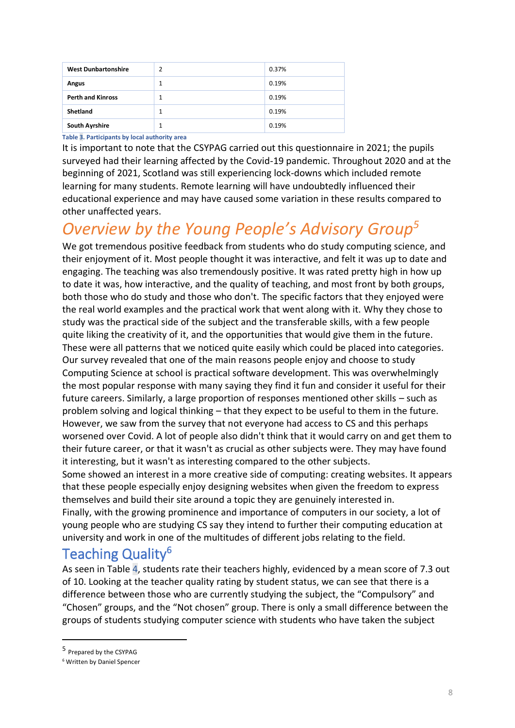| <b>West Dunbartonshire</b> | 2 | 0.37% |
|----------------------------|---|-------|
| <b>Angus</b>               | 1 | 0.19% |
| <b>Perth and Kinross</b>   |   | 0.19% |
| Shetland                   |   | 0.19% |
| <b>South Ayrshire</b>      |   | 0.19% |

<span id="page-8-0"></span>**Table 3. Participants by local authority area**

It is important to note that the CSYPAG carried out this questionnaire in 2021; the pupils surveyed had their learning affected by the Covid-19 pandemic. Throughout 2020 and at the beginning of 2021, Scotland was still experiencing lock-downs which included remote learning for many students. Remote learning will have undoubtedly influenced their educational experience and may have caused some variation in these results compared to other unaffected years.

### *Overview by the Young People's Advisory Group<sup>5</sup>*

We got tremendous positive feedback from students who do study computing science, and their enjoyment of it. Most people thought it was interactive, and felt it was up to date and engaging. The teaching was also tremendously positive. It was rated pretty high in how up to date it was, how interactive, and the quality of teaching, and most front by both groups, both those who do study and those who don't. The specific factors that they enjoyed were the real world examples and the practical work that went along with it. Why they chose to study was the practical side of the subject and the transferable skills, with a few people quite liking the creativity of it, and the opportunities that would give them in the future. These were all patterns that we noticed quite easily which could be placed into categories. Our survey revealed that one of the main reasons people enjoy and choose to study Computing Science at school is practical software development. This was overwhelmingly the most popular response with many saying they find it fun and consider it useful for their future careers. Similarly, a large proportion of responses mentioned other skills – such as problem solving and logical thinking – that they expect to be useful to them in the future. However, we saw from the survey that not everyone had access to CS and this perhaps worsened over Covid. A lot of people also didn't think that it would carry on and get them to their future career, or that it wasn't as crucial as other subjects were. They may have found it interesting, but it wasn't as interesting compared to the other subjects.

Some showed an interest in a more creative side of computing: creating websites. It appears that these people especially enjoy designing websites when given the freedom to express themselves and build their site around a topic they are genuinely interested in.

Finally, with the growing prominence and importance of computers in our society, a lot of young people who are studying CS say they intend to further their computing education at university and work in one of the multitudes of different jobs relating to the field.

#### Teaching Quality<sup>6</sup>

As seen in [Table 4,](#page-9-0) students rate their teachers highly, evidenced by a mean score of 7.3 out of 10. Looking at the teacher quality rating by student status, we can see that there is a difference between those who are currently studying the subject, the "Compulsory" and "Chosen" groups, and the "Not chosen" group. There is only a small difference between the groups of students studying computer science with students who have taken the subject

<sup>5</sup> Prepared by the CSYPAG

<sup>6</sup> Written by Daniel Spencer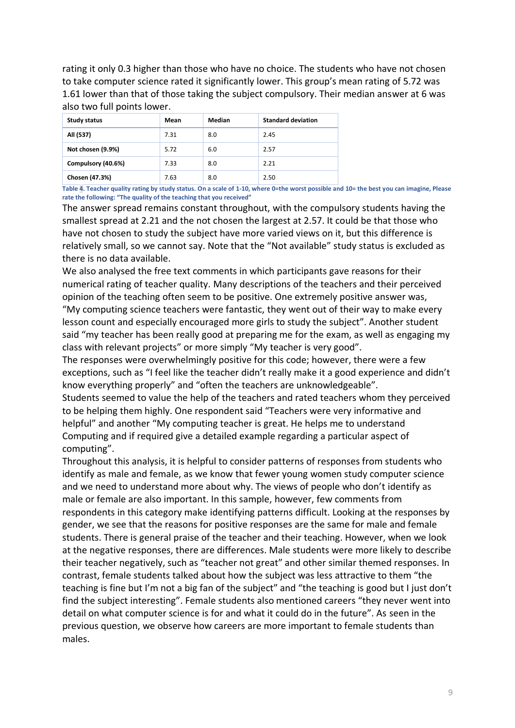rating it only 0.3 higher than those who have no choice. The students who have not chosen to take computer science rated it significantly lower. This group's mean rating of 5.72 was 1.61 lower than that of those taking the subject compulsory. Their median answer at 6 was also two full points lower.

| Study status       | Mean | Median | <b>Standard deviation</b> |
|--------------------|------|--------|---------------------------|
| All (537)          | 7.31 | 8.0    | 2.45                      |
| Not chosen (9.9%)  | 5.72 | 6.0    | 2.57                      |
| Compulsory (40.6%) | 7.33 | 8.0    | 2.21                      |
| Chosen (47.3%)     | 7.63 | 8.0    | 2.50                      |

<span id="page-9-0"></span>**Table 4. Teacher quality rating by study status. On a scale of 1-10, where 0=the worst possible and 10= the best you can imagine, Please rate the following: "The quality of the teaching that you received"**

The answer spread remains constant throughout, with the compulsory students having the smallest spread at 2.21 and the not chosen the largest at 2.57. It could be that those who have not chosen to study the subject have more varied views on it, but this difference is relatively small, so we cannot say. Note that the "Not available" study status is excluded as there is no data available.

We also analysed the free text comments in which participants gave reasons for their numerical rating of teacher quality. Many descriptions of the teachers and their perceived opinion of the teaching often seem to be positive. One extremely positive answer was, "My computing science teachers were fantastic, they went out of their way to make every lesson count and especially encouraged more girls to study the subject". Another student said "my teacher has been really good at preparing me for the exam, as well as engaging my class with relevant projects" or more simply "My teacher is very good".

The responses were overwhelmingly positive for this code; however, there were a few exceptions, such as "I feel like the teacher didn't really make it a good experience and didn't know everything properly" and "often the teachers are unknowledgeable".

Students seemed to value the help of the teachers and rated teachers whom they perceived to be helping them highly. One respondent said "Teachers were very informative and helpful" and another "My computing teacher is great. He helps me to understand Computing and if required give a detailed example regarding a particular aspect of computing".

Throughout this analysis, it is helpful to consider patterns of responses from students who identify as male and female, as we know that fewer young women study computer science and we need to understand more about why. The views of people who don't identify as male or female are also important. In this sample, however, few comments from respondents in this category make identifying patterns difficult. Looking at the responses by gender, we see that the reasons for positive responses are the same for male and female students. There is general praise of the teacher and their teaching. However, when we look at the negative responses, there are differences. Male students were more likely to describe their teacher negatively, such as "teacher not great" and other similar themed responses. In contrast, female students talked about how the subject was less attractive to them "the teaching is fine but I'm not a big fan of the subject" and "the teaching is good but I just don't find the subject interesting". Female students also mentioned careers "they never went into detail on what computer science is for and what it could do in the future". As seen in the previous question, we observe how careers are more important to female students than males.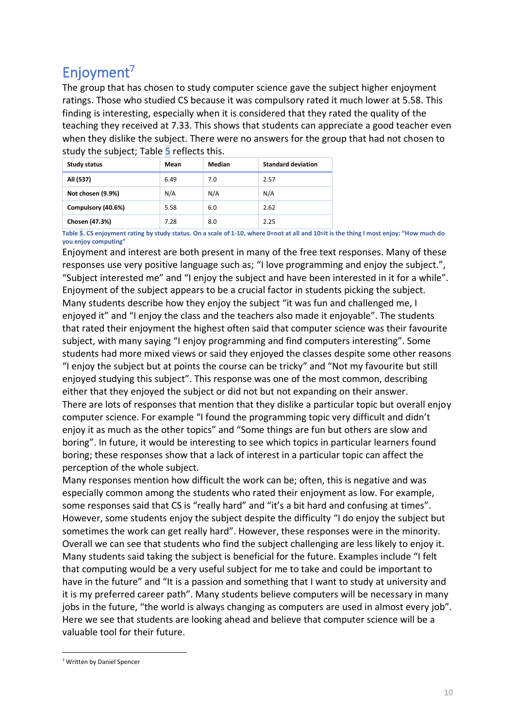### Enjoyment<sup>7</sup>

The group that has chosen to study computer science gave the subject higher enjoyment ratings. Those who studied CS because it was compulsory rated it much lower at 5.58. This finding is interesting, especially when it is considered that they rated the quality of the teaching they received at 7.33. This shows that students can appreciate a good teacher even when they dislike the subject. There were no answers for the group that had not chosen to study the subject; [Table 5](#page-10-0) reflects this.

| <b>Study status</b> | Mean | Median | <b>Standard deviation</b> |
|---------------------|------|--------|---------------------------|
| All (537)           | 6.49 | 7.0    | 2.57                      |
| Not chosen (9.9%)   | N/A  | N/A    | N/A                       |
| Compulsory (40.6%)  | 5.58 | 6.0    | 2.62                      |
| Chosen (47.3%)      | 7.28 | 8.0    | 2.25                      |

<span id="page-10-0"></span>**Table 5. CS enjoyment rating by study status. On a scale of 1-10, where 0=not at all and 10=it is the thing I most enjoy: "How much do you enjoy computing"**

Enjoyment and interest are both present in many of the free text responses. Many of these responses use very positive language such as; "I love programming and enjoy the subject.", "Subject interested me" and "I enjoy the subject and have been interested in it for a while". Enjoyment of the subject appears to be a crucial factor in students picking the subject. Many students describe how they enjoy the subject "it was fun and challenged me, I enjoyed it" and "I enjoy the class and the teachers also made it enjoyable". The students that rated their enjoyment the highest often said that computer science was their favourite subject, with many saying "I enjoy programming and find computers interesting". Some students had more mixed views or said they enjoyed the classes despite some other reasons "I enjoy the subject but at points the course can be tricky" and "Not my favourite but still enjoyed studying this subject". This response was one of the most common, describing either that they enjoyed the subject or did not but not expanding on their answer. There are lots of responses that mention that they dislike a particular topic but overall enjoy computer science. For example "I found the programming topic very difficult and didn't enjoy it as much as the other topics" and "Some things are fun but others are slow and boring". In future, it would be interesting to see which topics in particular learners found boring; these responses show that a lack of interest in a particular topic can affect the perception of the whole subject.

Many responses mention how difficult the work can be; often, this is negative and was especially common among the students who rated their enjoyment as low. For example, some responses said that CS is "really hard" and "it's a bit hard and confusing at times". However, some students enjoy the subject despite the difficulty "I do enjoy the subject but sometimes the work can get really hard". However, these responses were in the minority. Overall we can see that students who find the subject challenging are less likely to enjoy it. Many students said taking the subject is beneficial for the future. Examples include "I felt that computing would be a very useful subject for me to take and could be important to have in the future" and "It is a passion and something that I want to study at university and it is my preferred career path". Many students believe computers will be necessary in many jobs in the future, "the world is always changing as computers are used in almost every job". Here we see that students are looking ahead and believe that computer science will be a valuable tool for their future.

<sup>7</sup> Written by Daniel Spencer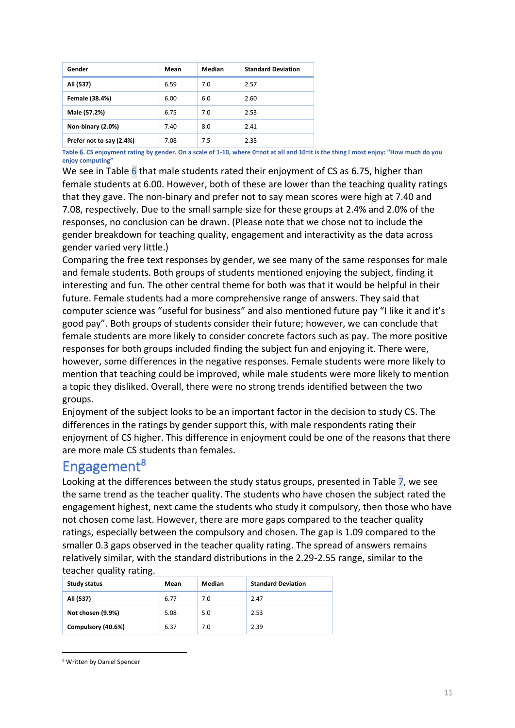| Gender                   | Mean | Median | <b>Standard Deviation</b> |
|--------------------------|------|--------|---------------------------|
| All (537)                | 6.59 | 7.0    | 2.57                      |
| Female (38.4%)           | 6.00 | 6.0    | 2.60                      |
| Male (57.2%)             | 6.75 | 7.0    | 2.53                      |
| Non-binary (2.0%)        | 7.40 | 8.0    | 2.41                      |
| Prefer not to say (2.4%) | 7.08 | 7.5    | 2.35                      |

<span id="page-11-0"></span>**Table 6. CS enjoyment rating by gender. On a scale of 1-10, where 0=not at all and 10=it is the thing I most enjoy: "How much do you enjoy computing"**

We see i[n Table 6](#page-11-0) that male students rated their enjoyment of CS as 6.75, higher than female students at 6.00. However, both of these are lower than the teaching quality ratings that they gave. The non-binary and prefer not to say mean scores were high at 7.40 and 7.08, respectively. Due to the small sample size for these groups at 2.4% and 2.0% of the responses, no conclusion can be drawn. (Please note that we chose not to include the gender breakdown for teaching quality, engagement and interactivity as the data across gender varied very little.)

Comparing the free text responses by gender, we see many of the same responses for male and female students. Both groups of students mentioned enjoying the subject, finding it interesting and fun. The other central theme for both was that it would be helpful in their future. Female students had a more comprehensive range of answers. They said that computer science was "useful for business" and also mentioned future pay "I like it and it's good pay". Both groups of students consider their future; however, we can conclude that female students are more likely to consider concrete factors such as pay. The more positive responses for both groups included finding the subject fun and enjoying it. There were, however, some differences in the negative responses. Female students were more likely to mention that teaching could be improved, while male students were more likely to mention a topic they disliked. Overall, there were no strong trends identified between the two groups.

Enjoyment of the subject looks to be an important factor in the decision to study CS. The differences in the ratings by gender support this, with male respondents rating their enjoyment of CS higher. This difference in enjoyment could be one of the reasons that there are more male CS students than females.

#### Engagement<sup>8</sup>

Looking at the differences between the study status groups, presented in [Table 7,](#page-12-0) we see the same trend as the teacher quality. The students who have chosen the subject rated the engagement highest, next came the students who study it compulsory, then those who have not chosen come last. However, there are more gaps compared to the teacher quality ratings, especially between the compulsory and chosen. The gap is 1.09 compared to the smaller 0.3 gaps observed in the teacher quality rating. The spread of answers remains relatively similar, with the standard distributions in the 2.29-2.55 range, similar to the teacher quality rating.

| Study status       | Mean | Median | <b>Standard Deviation</b> |
|--------------------|------|--------|---------------------------|
| All (537)          | 6.77 | 7.0    | 2.47                      |
| Not chosen (9.9%)  | 5.08 | 5.0    | 2.53                      |
| Compulsory (40.6%) | 6.37 | 7.0    | 2.39                      |

<sup>8</sup> Written by Daniel Spencer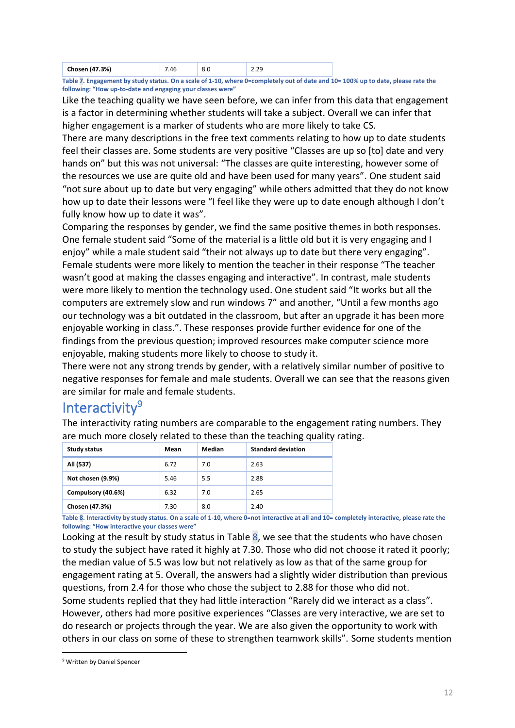| $+7.3%$<br>Chosen (47 |  | $\Omega$<br>----<br>$- - -$ |    |
|-----------------------|--|-----------------------------|----|
|                       |  |                             | -- |

<span id="page-12-0"></span>**Table 7. Engagement by study status. On a scale of 1-10, where 0=completely out of date and 10= 100% up to date, please rate the following: "How up-to-date and engaging your classes were"**

Like the teaching quality we have seen before, we can infer from this data that engagement is a factor in determining whether students will take a subject. Overall we can infer that higher engagement is a marker of students who are more likely to take CS.

There are many descriptions in the free text comments relating to how up to date students feel their classes are. Some students are very positive "Classes are up so [to] date and very hands on" but this was not universal: "The classes are quite interesting, however some of the resources we use are quite old and have been used for many years". One student said "not sure about up to date but very engaging" while others admitted that they do not know how up to date their lessons were "I feel like they were up to date enough although I don't fully know how up to date it was".

Comparing the responses by gender, we find the same positive themes in both responses. One female student said "Some of the material is a little old but it is very engaging and I enjoy" while a male student said "their not always up to date but there very engaging". Female students were more likely to mention the teacher in their response "The teacher wasn't good at making the classes engaging and interactive". In contrast, male students were more likely to mention the technology used. One student said "It works but all the computers are extremely slow and run windows 7" and another, "Until a few months ago our technology was a bit outdated in the classroom, but after an upgrade it has been more enjoyable working in class.". These responses provide further evidence for one of the findings from the previous question; improved resources make computer science more enjoyable, making students more likely to choose to study it.

There were not any strong trends by gender, with a relatively similar number of positive to negative responses for female and male students. Overall we can see that the reasons given are similar for male and female students.

#### Interactivity<sup>9</sup>

The interactivity rating numbers are comparable to the engagement rating numbers. They are much more closely related to these than the teaching quality rating.

| <b>Study status</b> | Mean | Median | <b>Standard deviation</b> |
|---------------------|------|--------|---------------------------|
| All (537)           | 6.72 | 7.0    | 2.63                      |
| Not chosen (9.9%)   | 5.46 | 5.5    | 2.88                      |
| Compulsory (40.6%)  | 6.32 | 7.0    | 2.65                      |
| Chosen (47.3%)      | 7.30 | 8.0    | 2.40                      |

<span id="page-12-1"></span>**Table 8. Interactivity by study status. On a scale of 1-10, where 0=not interactive at all and 10= completely interactive, please rate the following: "How interactive your classes were"**

Looking at the result by study status in Table  $8$ , we see that the students who have chosen to study the subject have rated it highly at 7.30. Those who did not choose it rated it poorly; the median value of 5.5 was low but not relatively as low as that of the same group for engagement rating at 5. Overall, the answers had a slightly wider distribution than previous questions, from 2.4 for those who chose the subject to 2.88 for those who did not. Some students replied that they had little interaction "Rarely did we interact as a class". However, others had more positive experiences "Classes are very interactive, we are set to do research or projects through the year. We are also given the opportunity to work with others in our class on some of these to strengthen teamwork skills". Some students mention

<sup>9</sup> Written by Daniel Spencer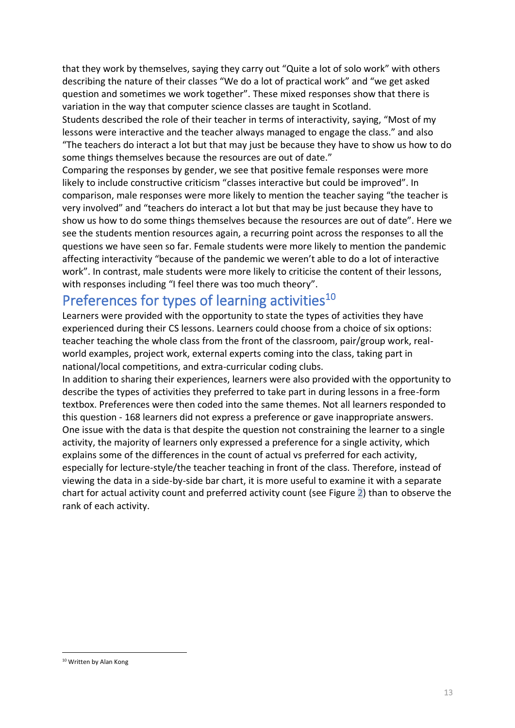that they work by themselves, saying they carry out "Quite a lot of solo work" with others describing the nature of their classes "We do a lot of practical work" and "we get asked question and sometimes we work together". These mixed responses show that there is variation in the way that computer science classes are taught in Scotland.

Students described the role of their teacher in terms of interactivity, saying, "Most of my lessons were interactive and the teacher always managed to engage the class." and also "The teachers do interact a lot but that may just be because they have to show us how to do some things themselves because the resources are out of date."

Comparing the responses by gender, we see that positive female responses were more likely to include constructive criticism "classes interactive but could be improved". In comparison, male responses were more likely to mention the teacher saying "the teacher is very involved" and "teachers do interact a lot but that may be just because they have to show us how to do some things themselves because the resources are out of date". Here we see the students mention resources again, a recurring point across the responses to all the questions we have seen so far. Female students were more likely to mention the pandemic affecting interactivity "because of the pandemic we weren't able to do a lot of interactive work". In contrast, male students were more likely to criticise the content of their lessons, with responses including "I feel there was too much theory".

#### Preferences for types of learning activities<sup>10</sup>

Learners were provided with the opportunity to state the types of activities they have experienced during their CS lessons. Learners could choose from a choice of six options: teacher teaching the whole class from the front of the classroom, pair/group work, realworld examples, project work, external experts coming into the class, taking part in national/local competitions, and extra-curricular coding clubs.

In addition to sharing their experiences, learners were also provided with the opportunity to describe the types of activities they preferred to take part in during lessons in a free-form textbox. Preferences were then coded into the same themes. Not all learners responded to this question - 168 learners did not express a preference or gave inappropriate answers. One issue with the data is that despite the question not constraining the learner to a single activity, the majority of learners only expressed a preference for a single activity, which explains some of the differences in the count of actual vs preferred for each activity, especially for lecture-style/the teacher teaching in front of the class. Therefore, instead of viewing the data in a side-by-side bar chart, it is more useful to examine it with a separate chart for actual activity count and preferred activity count (see [Figure 2\)](#page-14-0) than to observe the rank of each activity.

<sup>10</sup> Written by Alan Kong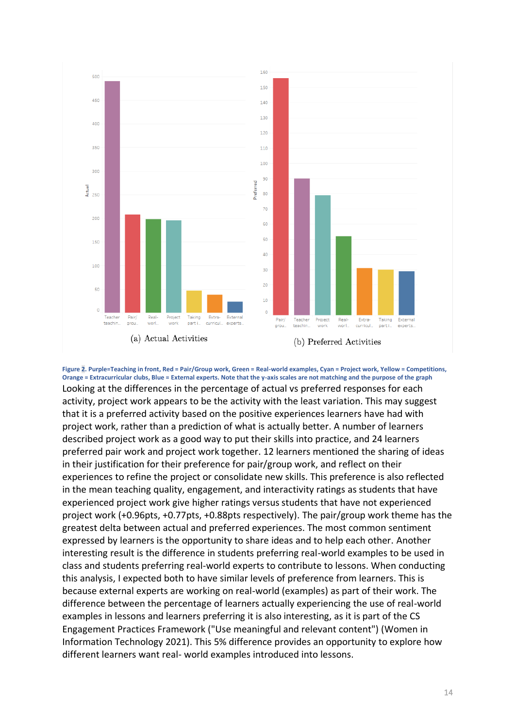

<span id="page-14-0"></span>**Figure 2. Purple=Teaching in front, Red = Pair/Group work, Green = Real-world examples, Cyan = Project work, Yellow = Competitions, Orange = Extracurricular clubs, Blue = External experts. Note that the y-axis scales are not matching and the purpose of the graph** Looking at the differences in the percentage of actual vs preferred responses for each activity, project work appears to be the activity with the least variation. This may suggest that it is a preferred activity based on the positive experiences learners have had with project work, rather than a prediction of what is actually better. A number of learners described project work as a good way to put their skills into practice, and 24 learners preferred pair work and project work together. 12 learners mentioned the sharing of ideas in their justification for their preference for pair/group work, and reflect on their experiences to refine the project or consolidate new skills. This preference is also reflected in the mean teaching quality, engagement, and interactivity ratings as students that have experienced project work give higher ratings versus students that have not experienced project work (+0.96pts, +0.77pts, +0.88pts respectively). The pair/group work theme has the greatest delta between actual and preferred experiences. The most common sentiment expressed by learners is the opportunity to share ideas and to help each other. Another interesting result is the difference in students preferring real-world examples to be used in class and students preferring real-world experts to contribute to lessons. When conducting this analysis, I expected both to have similar levels of preference from learners. This is because external experts are working on real-world (examples) as part of their work. The difference between the percentage of learners actually experiencing the use of real-world examples in lessons and learners preferring it is also interesting, as it is part of the CS Engagement Practices Framework ("Use meaningful and relevant content") (Women in Information Technology 2021). This 5% difference provides an opportunity to explore how different learners want real- world examples introduced into lessons.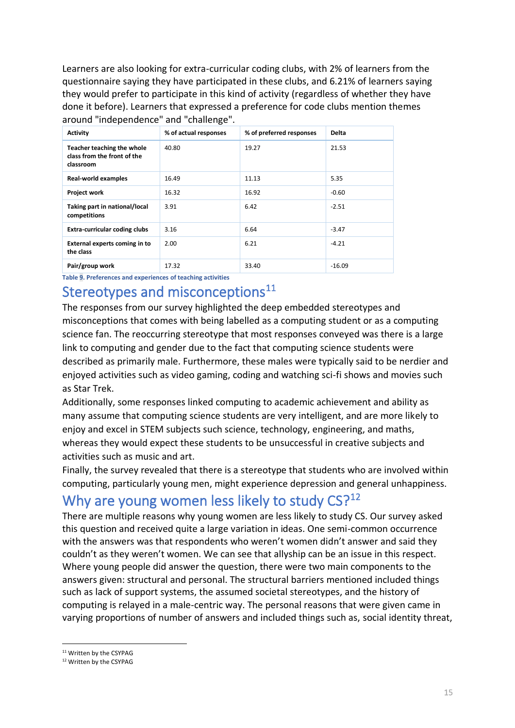Learners are also looking for extra-curricular coding clubs, with 2% of learners from the questionnaire saying they have participated in these clubs, and 6.21% of learners saying they would prefer to participate in this kind of activity (regardless of whether they have done it before). Learners that expressed a preference for code clubs mention themes around "independence" and "challenge".

| <b>Activity</b>                                                        | % of actual responses | % of preferred responses | <b>Delta</b> |
|------------------------------------------------------------------------|-----------------------|--------------------------|--------------|
| Teacher teaching the whole<br>class from the front of the<br>classroom | 40.80                 | 19.27                    | 21.53        |
| <b>Real-world examples</b>                                             | 16.49                 | 11.13                    | 5.35         |
| <b>Project work</b>                                                    | 16.32                 | 16.92                    | $-0.60$      |
| Taking part in national/local<br>competitions                          | 3.91                  | 6.42                     | $-2.51$      |
| Extra-curricular coding clubs                                          | 3.16                  | 6.64                     | $-3.47$      |
| <b>External experts coming in to</b><br>the class                      | 2.00                  | 6.21                     | $-4.21$      |
| Pair/group work                                                        | 17.32                 | 33.40                    | $-16.09$     |

**Table 9. Preferences and experiences of teaching activities**

#### Stereotypes and misconceptions<sup>11</sup>

The responses from our survey highlighted the deep embedded stereotypes and misconceptions that comes with being labelled as a computing student or as a computing science fan. The reoccurring stereotype that most responses conveyed was there is a large link to computing and gender due to the fact that computing science students were described as primarily male. Furthermore, these males were typically said to be nerdier and enjoyed activities such as video gaming, coding and watching sci-fi shows and movies such as Star Trek.

Additionally, some responses linked computing to academic achievement and ability as many assume that computing science students are very intelligent, and are more likely to enjoy and excel in STEM subjects such science, technology, engineering, and maths, whereas they would expect these students to be unsuccessful in creative subjects and activities such as music and art.

Finally, the survey revealed that there is a stereotype that students who are involved within computing, particularly young men, might experience depression and general unhappiness.

#### Why are young women less likely to study  $CSP^{12}$

There are multiple reasons why young women are less likely to study CS. Our survey asked this question and received quite a large variation in ideas. One semi-common occurrence with the answers was that respondents who weren't women didn't answer and said they couldn't as they weren't women. We can see that allyship can be an issue in this respect. Where young people did answer the question, there were two main components to the answers given: structural and personal. The structural barriers mentioned included things such as lack of support systems, the assumed societal stereotypes, and the history of computing is relayed in a male-centric way. The personal reasons that were given came in varying proportions of number of answers and included things such as, social identity threat,

<sup>&</sup>lt;sup>11</sup> Written by the CSYPAG

<sup>12</sup> Written by the CSYPAG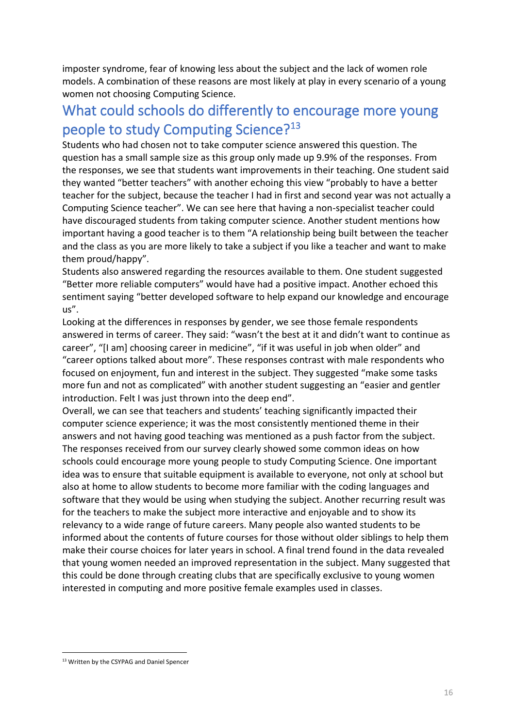imposter syndrome, fear of knowing less about the subject and the lack of women role models. A combination of these reasons are most likely at play in every scenario of a young women not choosing Computing Science.

#### What could schools do differently to encourage more young people to study Computing Science?<sup>13</sup>

Students who had chosen not to take computer science answered this question. The question has a small sample size as this group only made up 9.9% of the responses. From the responses, we see that students want improvements in their teaching. One student said they wanted "better teachers" with another echoing this view "probably to have a better teacher for the subject, because the teacher I had in first and second year was not actually a Computing Science teacher". We can see here that having a non-specialist teacher could have discouraged students from taking computer science. Another student mentions how important having a good teacher is to them "A relationship being built between the teacher and the class as you are more likely to take a subject if you like a teacher and want to make them proud/happy".

Students also answered regarding the resources available to them. One student suggested "Better more reliable computers" would have had a positive impact. Another echoed this sentiment saying "better developed software to help expand our knowledge and encourage us".

Looking at the differences in responses by gender, we see those female respondents answered in terms of career. They said: "wasn't the best at it and didn't want to continue as career", "[I am] choosing career in medicine", "if it was useful in job when older" and "career options talked about more". These responses contrast with male respondents who focused on enjoyment, fun and interest in the subject. They suggested "make some tasks more fun and not as complicated" with another student suggesting an "easier and gentler introduction. Felt I was just thrown into the deep end".

Overall, we can see that teachers and students' teaching significantly impacted their computer science experience; it was the most consistently mentioned theme in their answers and not having good teaching was mentioned as a push factor from the subject. The responses received from our survey clearly showed some common ideas on how schools could encourage more young people to study Computing Science. One important idea was to ensure that suitable equipment is available to everyone, not only at school but also at home to allow students to become more familiar with the coding languages and software that they would be using when studying the subject. Another recurring result was for the teachers to make the subject more interactive and enjoyable and to show its relevancy to a wide range of future careers. Many people also wanted students to be informed about the contents of future courses for those without older siblings to help them make their course choices for later years in school. A final trend found in the data revealed that young women needed an improved representation in the subject. Many suggested that this could be done through creating clubs that are specifically exclusive to young women interested in computing and more positive female examples used in classes.

<sup>13</sup> Written by the CSYPAG and Daniel Spencer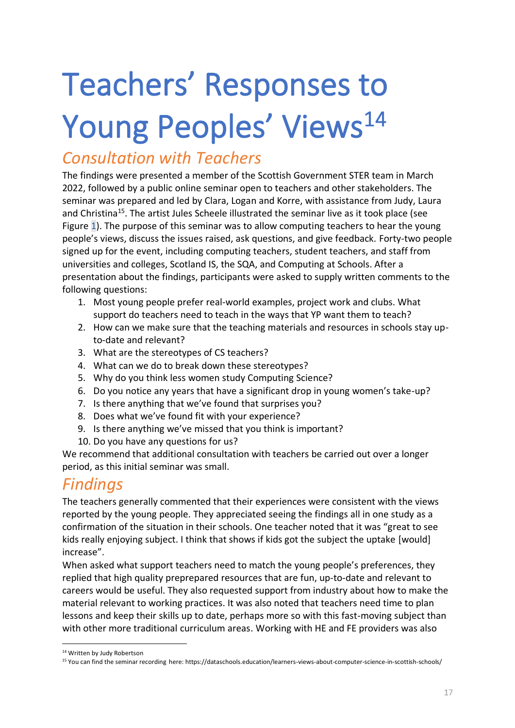# Teachers' Responses to Young Peoples' Views<sup>14</sup>

### *Consultation with Teachers*

The findings were presented a member of the Scottish Government STER team in March 2022, followed by a public online seminar open to teachers and other stakeholders. The seminar was prepared and led by Clara, Logan and Korre, with assistance from Judy, Laura and Christina<sup>15</sup>. The artist Jules Scheele illustrated the seminar live as it took place (see [Figure 1\)](#page-2-0). The purpose of this seminar was to allow computing teachers to hear the young people's views, discuss the issues raised, ask questions, and give feedback. Forty-two people signed up for the event, including computing teachers, student teachers, and staff from universities and colleges, Scotland IS, the SQA, and Computing at Schools. After a presentation about the findings, participants were asked to supply written comments to the following questions:

- 1. Most young people prefer real-world examples, project work and clubs. What support do teachers need to teach in the ways that YP want them to teach?
- 2. How can we make sure that the teaching materials and resources in schools stay upto-date and relevant?
- 3. What are the stereotypes of CS teachers?
- 4. What can we do to break down these stereotypes?
- 5. Why do you think less women study Computing Science?
- 6. Do you notice any years that have a significant drop in young women's take-up?
- 7. Is there anything that we've found that surprises you?
- 8. Does what we've found fit with your experience?
- 9. Is there anything we've missed that you think is important?
- 10. Do you have any questions for us?

We recommend that additional consultation with teachers be carried out over a longer period, as this initial seminar was small.

### *Findings*

The teachers generally commented that their experiences were consistent with the views reported by the young people. They appreciated seeing the findings all in one study as a confirmation of the situation in their schools. One teacher noted that it was "great to see kids really enjoying subject. I think that shows if kids got the subject the uptake [would] increase".

When asked what support teachers need to match the young people's preferences, they replied that high quality preprepared resources that are fun, up-to-date and relevant to careers would be useful. They also requested support from industry about how to make the material relevant to working practices. It was also noted that teachers need time to plan lessons and keep their skills up to date, perhaps more so with this fast-moving subject than with other more traditional curriculum areas. Working with HE and FE providers was also

<sup>&</sup>lt;sup>14</sup> Written by Judy Robertson

<sup>15</sup> You can find the seminar recording here: https://dataschools.education/learners-views-about-computer-science-in-scottish-schools/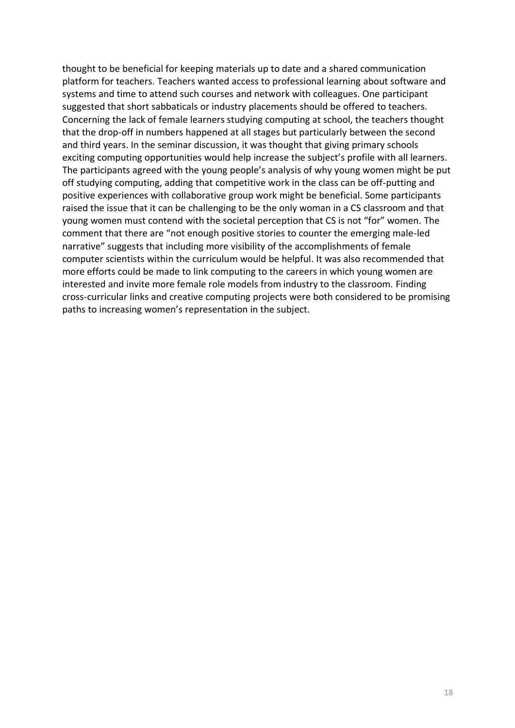thought to be beneficial for keeping materials up to date and a shared communication platform for teachers. Teachers wanted access to professional learning about software and systems and time to attend such courses and network with colleagues. One participant suggested that short sabbaticals or industry placements should be offered to teachers. Concerning the lack of female learners studying computing at school, the teachers thought that the drop-off in numbers happened at all stages but particularly between the second and third years. In the seminar discussion, it was thought that giving primary schools exciting computing opportunities would help increase the subject's profile with all learners. The participants agreed with the young people's analysis of why young women might be put off studying computing, adding that competitive work in the class can be off-putting and positive experiences with collaborative group work might be beneficial. Some participants raised the issue that it can be challenging to be the only woman in a CS classroom and that young women must contend with the societal perception that CS is not "for" women. The comment that there are "not enough positive stories to counter the emerging male-led narrative" suggests that including more visibility of the accomplishments of female computer scientists within the curriculum would be helpful. It was also recommended that more efforts could be made to link computing to the careers in which young women are interested and invite more female role models from industry to the classroom. Finding cross-curricular links and creative computing projects were both considered to be promising paths to increasing women's representation in the subject.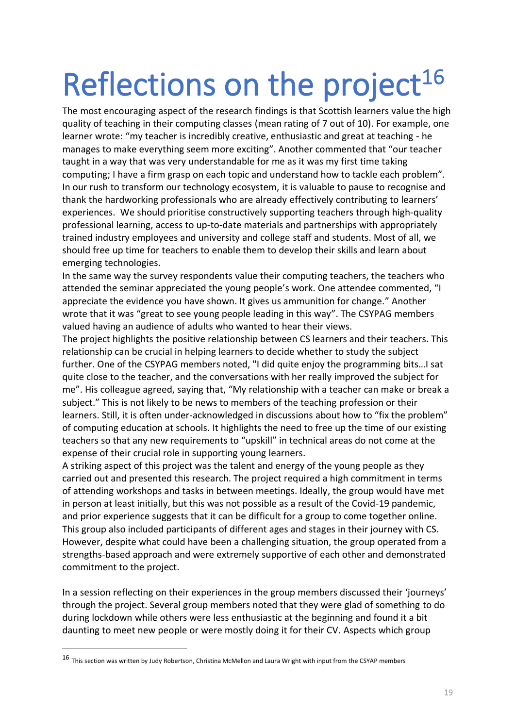# Reflections on the project<sup>16</sup>

The most encouraging aspect of the research findings is that Scottish learners value the high quality of teaching in their computing classes (mean rating of 7 out of 10). For example, one learner wrote: "my teacher is incredibly creative, enthusiastic and great at teaching - he manages to make everything seem more exciting". Another commented that "our teacher taught in a way that was very understandable for me as it was my first time taking computing; I have a firm grasp on each topic and understand how to tackle each problem". In our rush to transform our technology ecosystem, it is valuable to pause to recognise and thank the hardworking professionals who are already effectively contributing to learners' experiences. We should prioritise constructively supporting teachers through high-quality professional learning, access to up-to-date materials and partnerships with appropriately trained industry employees and university and college staff and students. Most of all, we should free up time for teachers to enable them to develop their skills and learn about emerging technologies.

In the same way the survey respondents value their computing teachers, the teachers who attended the seminar appreciated the young people's work. One attendee commented, "I appreciate the evidence you have shown. It gives us ammunition for change." Another wrote that it was "great to see young people leading in this way". The CSYPAG members valued having an audience of adults who wanted to hear their views.

The project highlights the positive relationship between CS learners and their teachers. This relationship can be crucial in helping learners to decide whether to study the subject further. One of the CSYPAG members noted, "I did quite enjoy the programming bits…I sat quite close to the teacher, and the conversations with her really improved the subject for me". His colleague agreed, saying that, "My relationship with a teacher can make or break a subject." This is not likely to be news to members of the teaching profession or their learners. Still, it is often under-acknowledged in discussions about how to "fix the problem" of computing education at schools. It highlights the need to free up the time of our existing teachers so that any new requirements to "upskill" in technical areas do not come at the expense of their crucial role in supporting young learners.

A striking aspect of this project was the talent and energy of the young people as they carried out and presented this research. The project required a high commitment in terms of attending workshops and tasks in between meetings. Ideally, the group would have met in person at least initially, but this was not possible as a result of the Covid-19 pandemic, and prior experience suggests that it can be difficult for a group to come together online. This group also included participants of different ages and stages in their journey with CS. However, despite what could have been a challenging situation, the group operated from a strengths-based approach and were extremely supportive of each other and demonstrated commitment to the project.

In a session reflecting on their experiences in the group members discussed their 'journeys' through the project. Several group members noted that they were glad of something to do during lockdown while others were less enthusiastic at the beginning and found it a bit daunting to meet new people or were mostly doing it for their CV. Aspects which group

<sup>16</sup> This section was written by Judy Robertson, Christina McMellon and Laura Wright with input from the CSYAP members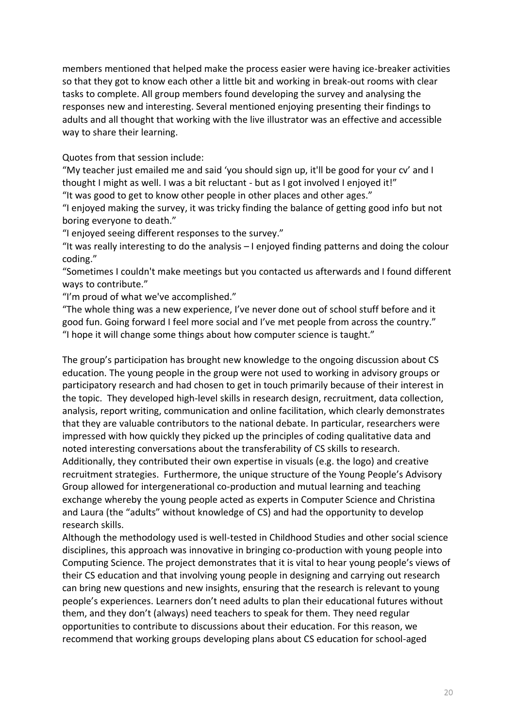members mentioned that helped make the process easier were having ice-breaker activities so that they got to know each other a little bit and working in break-out rooms with clear tasks to complete. All group members found developing the survey and analysing the responses new and interesting. Several mentioned enjoying presenting their findings to adults and all thought that working with the live illustrator was an effective and accessible way to share their learning.

Quotes from that session include:

"My teacher just emailed me and said 'you should sign up, it'll be good for your cv' and I thought I might as well. I was a bit reluctant - but as I got involved I enjoyed it!"

"It was good to get to know other people in other places and other ages."

"I enjoyed making the survey, it was tricky finding the balance of getting good info but not boring everyone to death."

"I enjoyed seeing different responses to the survey."

"It was really interesting to do the analysis – I enjoyed finding patterns and doing the colour coding."

"Sometimes I couldn't make meetings but you contacted us afterwards and I found different ways to contribute."

"I'm proud of what we've accomplished."

"The whole thing was a new experience, I've never done out of school stuff before and it good fun. Going forward I feel more social and I've met people from across the country." "I hope it will change some things about how computer science is taught."

The group's participation has brought new knowledge to the ongoing discussion about CS education. The young people in the group were not used to working in advisory groups or participatory research and had chosen to get in touch primarily because of their interest in the topic. They developed high-level skills in research design, recruitment, data collection, analysis, report writing, communication and online facilitation, which clearly demonstrates that they are valuable contributors to the national debate. In particular, researchers were impressed with how quickly they picked up the principles of coding qualitative data and noted interesting conversations about the transferability of CS skills to research. Additionally, they contributed their own expertise in visuals (e.g. the logo) and creative recruitment strategies. Furthermore, the unique structure of the Young People's Advisory Group allowed for intergenerational co-production and mutual learning and teaching exchange whereby the young people acted as experts in Computer Science and Christina and Laura (the "adults" without knowledge of CS) and had the opportunity to develop research skills.

Although the methodology used is well-tested in Childhood Studies and other social science disciplines, this approach was innovative in bringing co-production with young people into Computing Science. The project demonstrates that it is vital to hear young people's views of their CS education and that involving young people in designing and carrying out research can bring new questions and new insights, ensuring that the research is relevant to young people's experiences. Learners don't need adults to plan their educational futures without them, and they don't (always) need teachers to speak for them. They need regular opportunities to contribute to discussions about their education. For this reason, we recommend that working groups developing plans about CS education for school-aged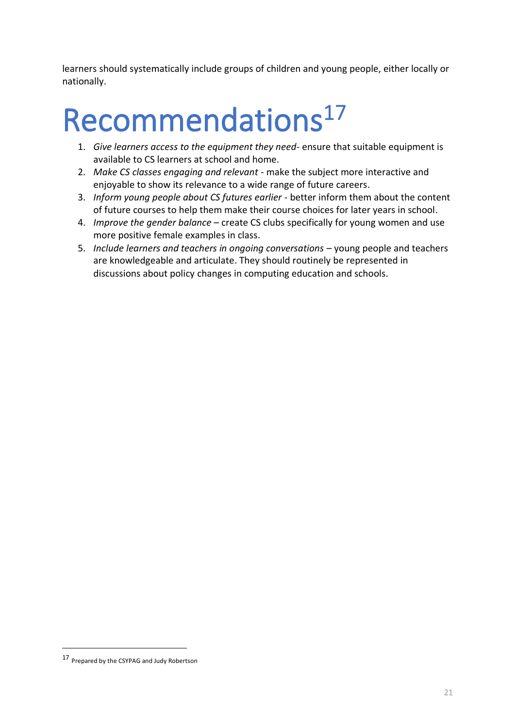learners should systematically include groups of children and young people, either locally or nationally.

## Recommendations<sup>17</sup>

- 1. *Give learners access to the equipment they need* ensure that suitable equipment is available to CS learners at school and home.
- 2. *Make CS classes engaging and relevant* make the subject more interactive and enjoyable to show its relevance to a wide range of future careers.
- 3. *Inform young people about CS futures earlier* better inform them about the content of future courses to help them make their course choices for later years in school.
- 4. *Improve the gender balance* create CS clubs specifically for young women and use more positive female examples in class.
- 5. *Include learners and teachers in ongoing conversations* young people and teachers are knowledgeable and articulate. They should routinely be represented in discussions about policy changes in computing education and schools.

<sup>17</sup> Prepared by the CSYPAG and Judy Robertson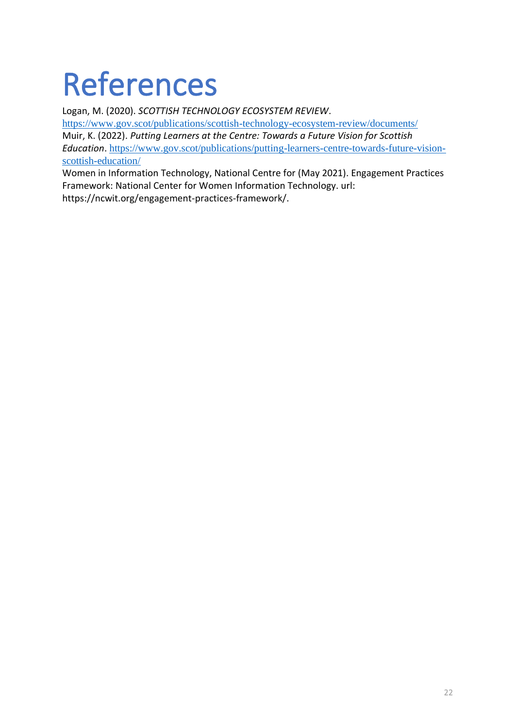## References

Logan, M. (2020). *SCOTTISH TECHNOLOGY ECOSYSTEM REVIEW*. <https://www.gov.scot/publications/scottish-technology-ecosystem-review/documents/>

Muir, K. (2022). *Putting Learners at the Centre: Towards a Future Vision for Scottish Education*. [https://www.gov.scot/publications/putting-learners-centre-towards-future-vision](https://www.gov.scot/publications/putting-learners-centre-towards-future-vision-scottish-education/)[scottish-education/](https://www.gov.scot/publications/putting-learners-centre-towards-future-vision-scottish-education/)

Women in Information Technology, National Centre for (May 2021). Engagement Practices Framework: National Center for Women Information Technology. url: https://ncwit.org/engagement-practices-framework/.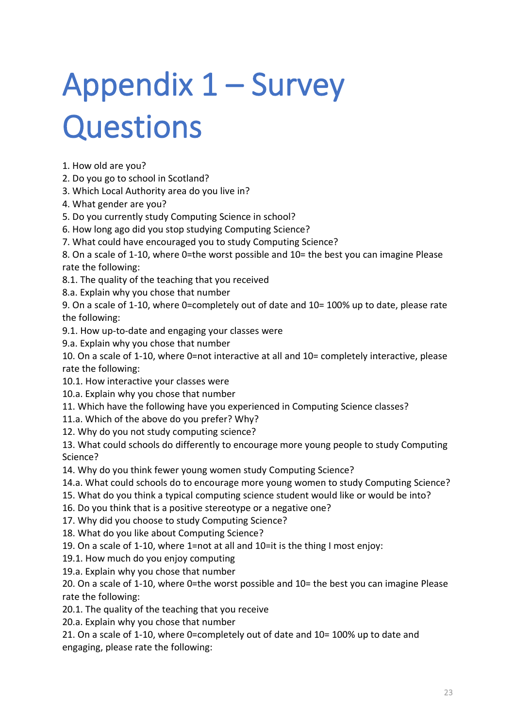# Appendix 1 – Survey **Questions**

1. How old are you?

- 2. Do you go to school in Scotland?
- 3. Which Local Authority area do you live in?
- 4. What gender are you?
- 5. Do you currently study Computing Science in school?
- 6. How long ago did you stop studying Computing Science?
- 7. What could have encouraged you to study Computing Science?

8. On a scale of 1-10, where 0=the worst possible and 10= the best you can imagine Please rate the following:

8.1. The quality of the teaching that you received

8.a. Explain why you chose that number

9. On a scale of 1-10, where 0=completely out of date and 10= 100% up to date, please rate the following:

9.1. How up-to-date and engaging your classes were

9.a. Explain why you chose that number

10. On a scale of 1-10, where 0=not interactive at all and 10= completely interactive, please rate the following:

- 10.1. How interactive your classes were
- 10.a. Explain why you chose that number
- 11. Which have the following have you experienced in Computing Science classes?
- 11.a. Which of the above do you prefer? Why?
- 12. Why do you not study computing science?

13. What could schools do differently to encourage more young people to study Computing Science?

14. Why do you think fewer young women study Computing Science?

- 14.a. What could schools do to encourage more young women to study Computing Science?
- 15. What do you think a typical computing science student would like or would be into?
- 16. Do you think that is a positive stereotype or a negative one?
- 17. Why did you choose to study Computing Science?
- 18. What do you like about Computing Science?
- 19. On a scale of 1-10, where 1=not at all and 10=it is the thing I most enjoy:
- 19.1. How much do you enjoy computing
- 19.a. Explain why you chose that number

20. On a scale of 1-10, where 0=the worst possible and 10= the best you can imagine Please rate the following:

20.1. The quality of the teaching that you receive

20.a. Explain why you chose that number

21. On a scale of 1-10, where 0=completely out of date and 10= 100% up to date and engaging, please rate the following: